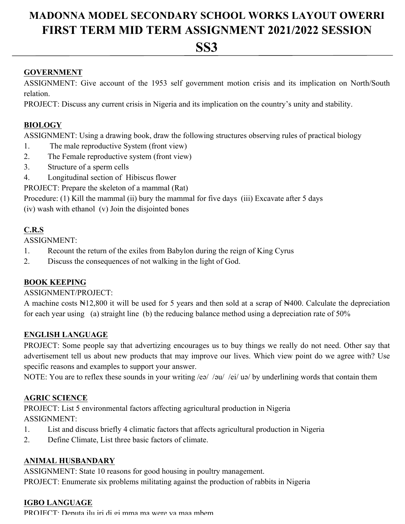# **MADONNA MODEL SECONDARY SCHOOL WORKS LAYOUT OWERRI FIRST TERM MID TERM ASSIGNMENT 2021/2022 SESSION**

# **SS3**

#### **GOVERNMENT**

ASSIGNMENT: Give account of the 1953 self government motion crisis and its implication on North/South relation.

PROJECT: Discuss any current crisis in Nigeria and its implication on the country's unity and stability.

#### **BIOLOGY**

ASSIGNMENT: Using a drawing book, draw the following structures observing rules of practical biology

- 1. The male reproductive System (front view)
- 2. The Female reproductive system (front view)
- 3. Structure of a sperm cells
- 4. Longitudinal section of Hibiscus flower

PROJECT: Prepare the skeleton of a mammal (Rat)

Procedure: (1) Kill the mammal (ii) bury the mammal for five days (iii) Excavate after 5 days

(iv) wash with ethanol (v) Join the disjointed bones

### **C.R.S**

ASSIGNMENT:

- 1. Recount the return of the exiles from Babylon during the reign of King Cyrus
- 2. Discuss the consequences of not walking in the light of God.

### **BOOK KEEPING**

#### ASSIGNMENT/PROJECT:

A machine costs N12,800 it will be used for 5 years and then sold at a scrap of N400. Calculate the depreciation for each year using (a) straight line (b) the reducing balance method using a depreciation rate of 50%

### **ENGLISH LANGUAGE**

PROJECT: Some people say that advertizing encourages us to buy things we really do not need. Other say that advertisement tell us about new products that may improve our lives. Which view point do we agree with? Use specific reasons and examples to support your answer.

NOTE: You are to reflex these sounds in your writing /eə/ /əu/ /ei/ uə/ by underlining words that contain them

### **AGRIC SCIENCE**

PROJECT: List 5 environmental factors affecting agricultural production in Nigeria ASSIGNMENT:

- 1. List and discuss briefly 4 climatic factors that affects agricultural production in Nigeria
- 2. Define Climate, List three basic factors of climate.

### **ANIMAL HUSBANDARY**

ASSIGNMENT: State 10 reasons for good housing in poultry management. PROJECT: Enumerate six problems militating against the production of rabbits in Nigeria

#### **IGBO LANGUAGE**

PROJECT<sup>.</sup> Deputa ilu iri di gi mma ma were ya maa mbem